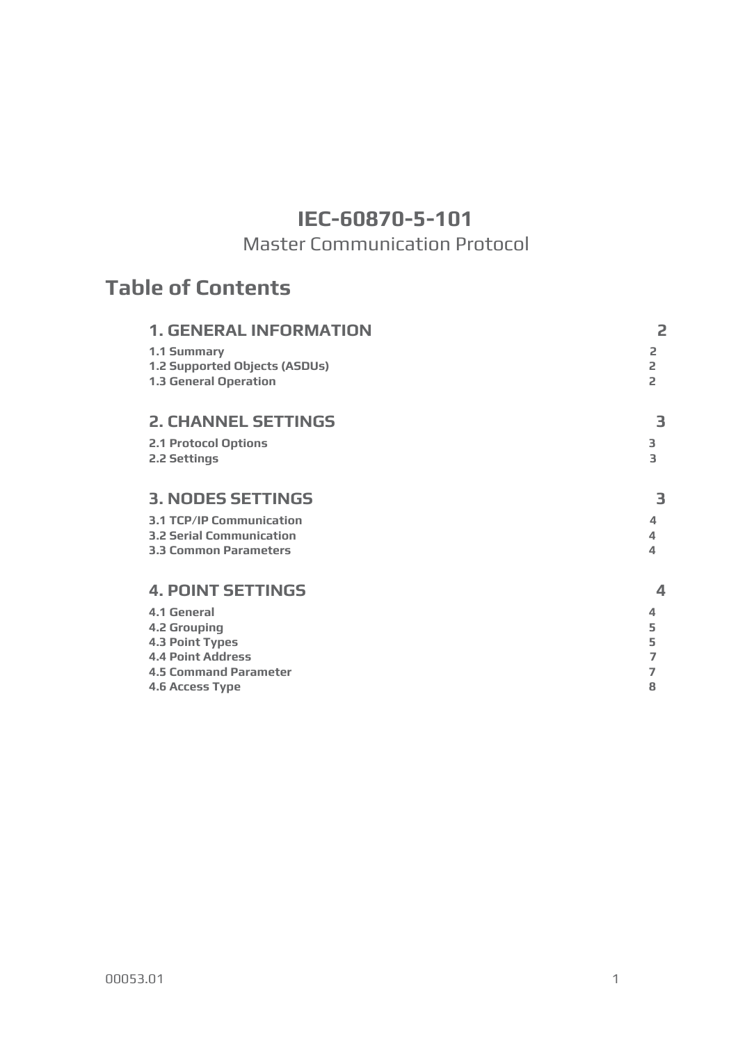# **IEC-60870-5-101**

# Master Communication Protocol

# **Table of Contents**

| <b>1. GENERAL INFORMATION</b>   | 2                        |
|---------------------------------|--------------------------|
| 1.1 Summary                     | 2                        |
| 1.2 Supported Objects (ASDUs)   | 2                        |
| <b>1.3 General Operation</b>    | $\overline{a}$           |
| <b>2. CHANNEL SETTINGS</b>      | 3                        |
| <b>2.1 Protocol Options</b>     | 3                        |
| 2.2 Settings                    | 3                        |
|                                 |                          |
| <b>3. NODES SETTINGS</b>        | 3                        |
| <b>3.1 TCP/IP Communication</b> | $\overline{\mathcal{A}}$ |
| <b>3.2 Serial Communication</b> | 4                        |
| <b>3.3 Common Parameters</b>    | $\Delta$                 |
| <b>4. POINT SETTINGS</b>        | 4                        |
| 4.1 General                     | 4                        |
| <b>4.2 Grouping</b>             | 5                        |
| <b>4.3 Point Types</b>          | 5                        |
| <b>4.4 Point Address</b>        | $\overline{7}$           |
| <b>4.5 Command Parameter</b>    | 7                        |
| <b>4.6 Access Type</b>          | 8                        |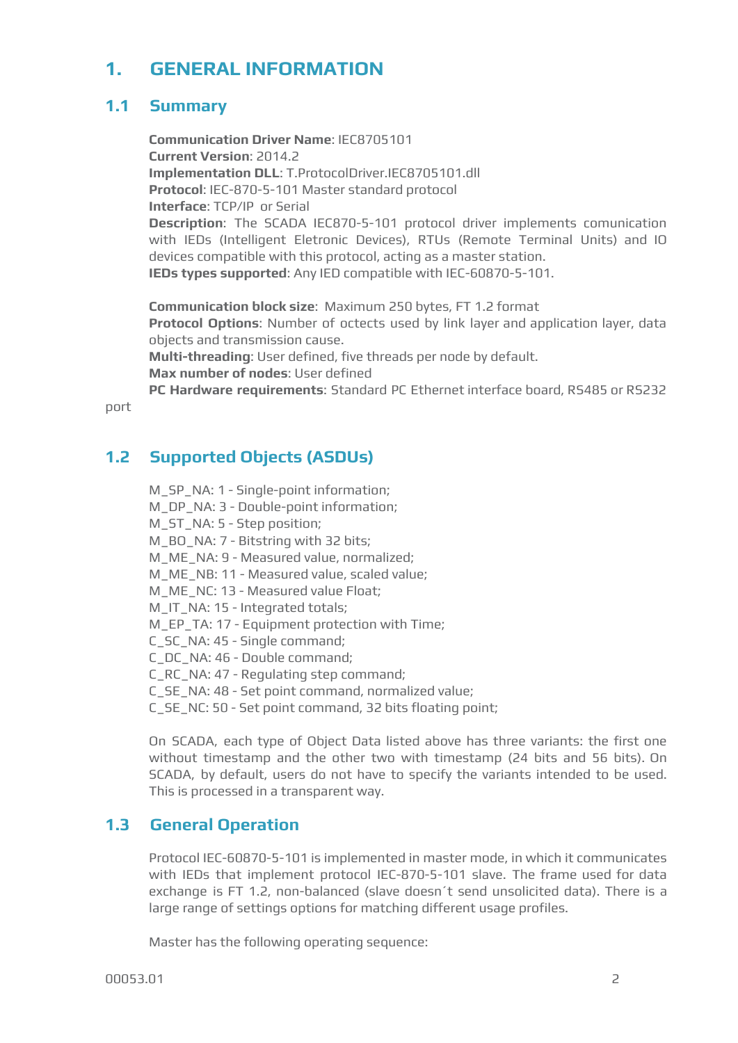# <span id="page-1-0"></span>**1. GENERAL INFORMATION**

# <span id="page-1-1"></span>**1.1 Summary**

**Communication Driver Name**: IEC8705101 **Current Version**: 2014.2 **Implementation DLL**: T.ProtocolDriver.IEC8705101.dll **Protocol**: IEC-870-5-101 Master standard protocol **Interface**: TCP/IP or Serial **Description**: The SCADA IEC870-5-101 protocol driver implements comunication with IEDs (Intelligent Eletronic Devices), RTUs (Remote Terminal Units) and IO devices compatible with this protocol, acting as a master station. **IEDs types supported**: Any IED compatible with IEC-60870-5-101.

**Communication block size**: Maximum 250 bytes, FT 1.2 format **Protocol Options**: Number of octects used by link layer and application layer, data objects and transmission cause. **Multi-threading**: User defined, five threads per node by default. **Max number of nodes**: User defined **PC Hardware requirements**: Standard PC Ethernet interface board, RS485 or RS232

port

# <span id="page-1-2"></span>**1.2 Supported Objects (ASDUs)**

M\_SP\_NA: 1 - Single-point information; M\_DP\_NA: 3 - Double-point information; M\_ST\_NA: 5 - Step position; M\_BO\_NA: 7 - Bitstring with 32 bits; M\_ME\_NA: 9 - Measured value, normalized; M\_ME\_NB: 11 - Measured value, scaled value; M\_ME\_NC: 13 - Measured value Float; M\_IT\_NA: 15 - Integrated totals; M\_EP\_TA: 17 - Equipment protection with Time; C\_SC\_NA: 45 - Single command; C\_DC\_NA: 46 - Double command; C\_RC\_NA: 47 - Regulating step command; C\_SE\_NA: 48 - Set point command, normalized value; C\_SE\_NC: 50 - Set point command, 32 bits floating point;

On SCADA, each type of Object Data listed above has three variants: the first one without timestamp and the other two with timestamp (24 bits and 56 bits). On SCADA, by default, users do not have to specify the variants intended to be used. This is processed in a transparent way.

# <span id="page-1-3"></span>**1.3 General Operation**

Protocol IEC-60870-5-101 is implemented in master mode, in which it communicates with IEDs that implement protocol IEC-870-5-101 slave. The frame used for data exchange is FT 1.2, non-balanced (slave doesn´t send unsolicited data). There is a large range of settings options for matching different usage profiles.

Master has the following operating sequence: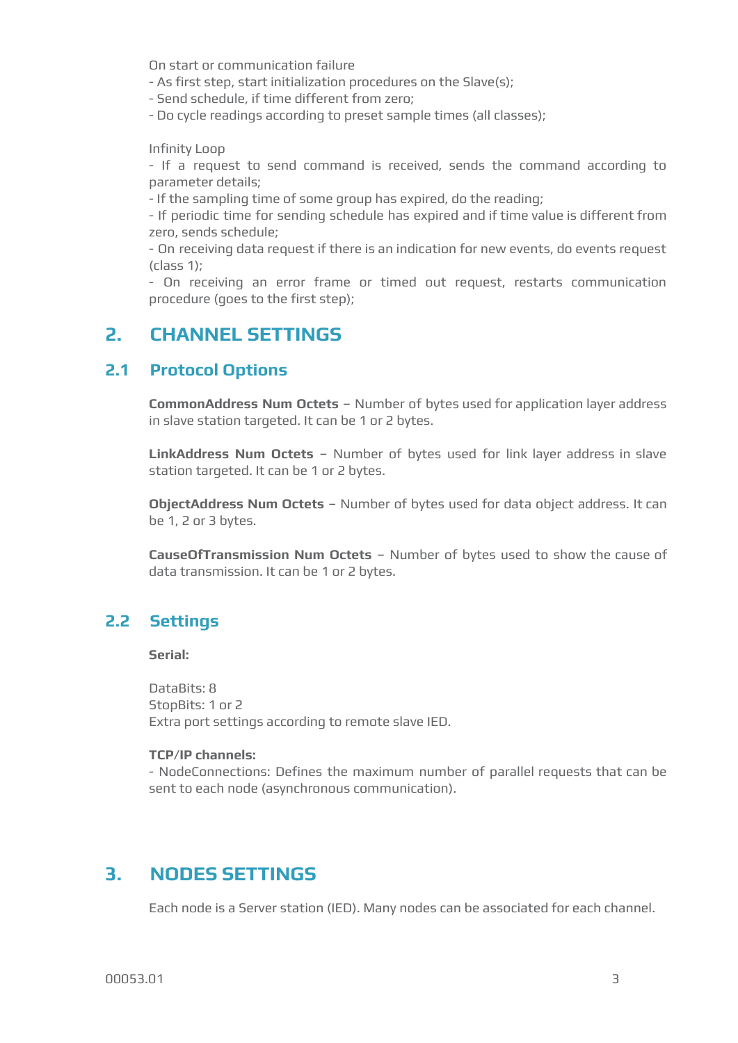On start or communication failure

- As first step, start initialization procedures on the Slave(s);

- Send schedule, if time different from zero;

- Do cycle readings according to preset sample times (all classes);

Infinity Loop

- If a request to send command is received, sends the command according to parameter details;

- If the sampling time of some group has expired, do the reading;

- If periodic time for sending schedule has expired and if time value is different from zero, sends schedule;

- On receiving data request if there is an indication for new events, do events request (class 1);

- On receiving an error frame or timed out request, restarts communication procedure (goes to the first step);

# <span id="page-2-0"></span>**2. CHANNEL SETTINGS**

### <span id="page-2-1"></span>**2.1 Protocol Options**

**CommonAddress Num Octets** – Number of bytes used for application layer address in slave station targeted. It can be 1 or 2 bytes.

**LinkAddress Num Octets** – Number of bytes used for link layer address in slave station targeted. It can be 1 or 2 bytes.

**ObjectAddress Num Octets** – Number of bytes used for data object address. It can be 1, 2 or 3 bytes.

**CauseOfTransmission Num Octets** – Number of bytes used to show the cause of data transmission. It can be 1 or 2 bytes.

# <span id="page-2-2"></span>**2.2 Settings**

**Serial:**

DataBits: 8 StopBits: 1 or 2 Extra port settings according to remote slave IED.

#### **TCP/IP channels:**

- NodeConnections: Defines the maximum number of parallel requests that can be sent to each node (asynchronous communication).

# <span id="page-2-3"></span>**3. NODES SETTINGS**

Each node is a Server station (IED). Many nodes can be associated for each channel.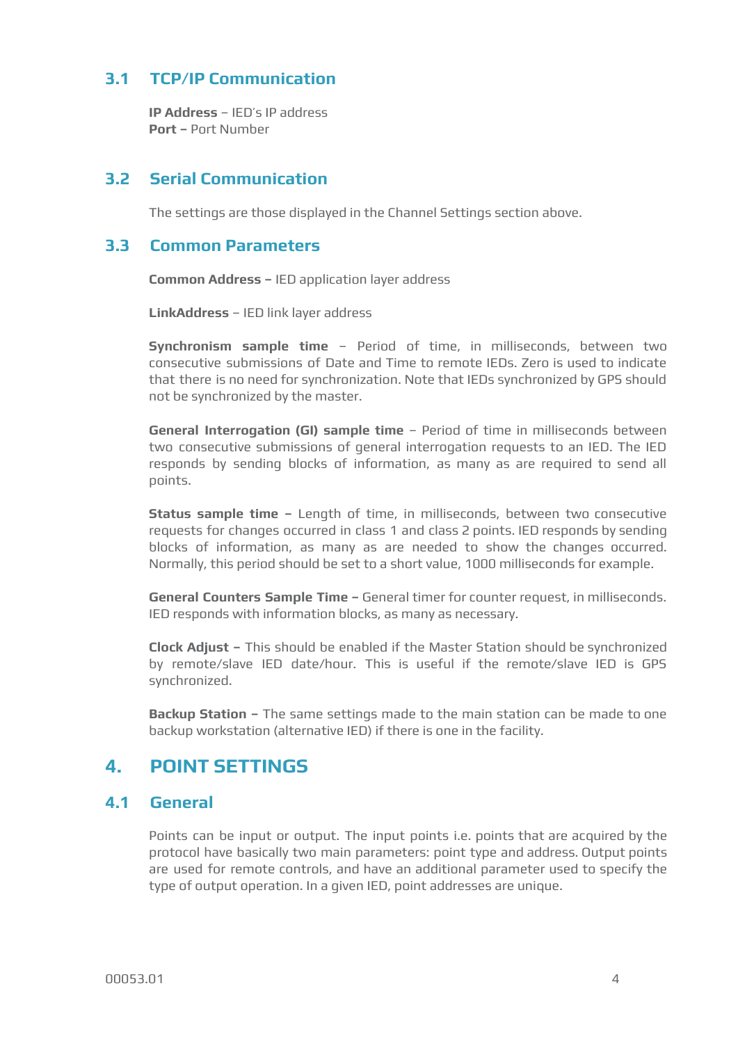## <span id="page-3-0"></span>**3.1 TCP/IP Communication**

**IP Address** – IED's IP address **Port –** Port Number

### <span id="page-3-1"></span>**3.2 Serial Communication**

The settings are those displayed in the Channel Settings section above.

#### <span id="page-3-2"></span>**3.3 Common Parameters**

**Common Address –** IED application layer address

**LinkAddress** – IED link layer address

**Synchronism sample time** – Period of time, in milliseconds, between two consecutive submissions of Date and Time to remote IEDs. Zero is used to indicate that there is no need for synchronization. Note that IEDs synchronized by GPS should not be synchronized by the master.

**General Interrogation (GI) sample time** – Period of time in milliseconds between two consecutive submissions of general interrogation requests to an IED. The IED responds by sending blocks of information, as many as are required to send all points.

**Status sample time –** Length of time, in milliseconds, between two consecutive requests for changes occurred in class 1 and class 2 points. IED responds by sending blocks of information, as many as are needed to show the changes occurred. Normally, this period should be set to a short value, 1000 milliseconds for example.

**General Counters Sample Time –** General timer for counter request, in milliseconds. IED responds with information blocks, as many as necessary.

**Clock Adjust –** This should be enabled if the Master Station should be synchronized by remote/slave IED date/hour. This is useful if the remote/slave IED is GPS synchronized.

**Backup Station –** The same settings made to the main station can be made to one backup workstation (alternative IED) if there is one in the facility.

# <span id="page-3-3"></span>**4. POINT SETTINGS**

#### <span id="page-3-4"></span>**4.1 General**

Points can be input or output. The input points i.e. points that are acquired by the protocol have basically two main parameters: point type and address. Output points are used for remote controls, and have an additional parameter used to specify the type of output operation. In a given IED, point addresses are unique.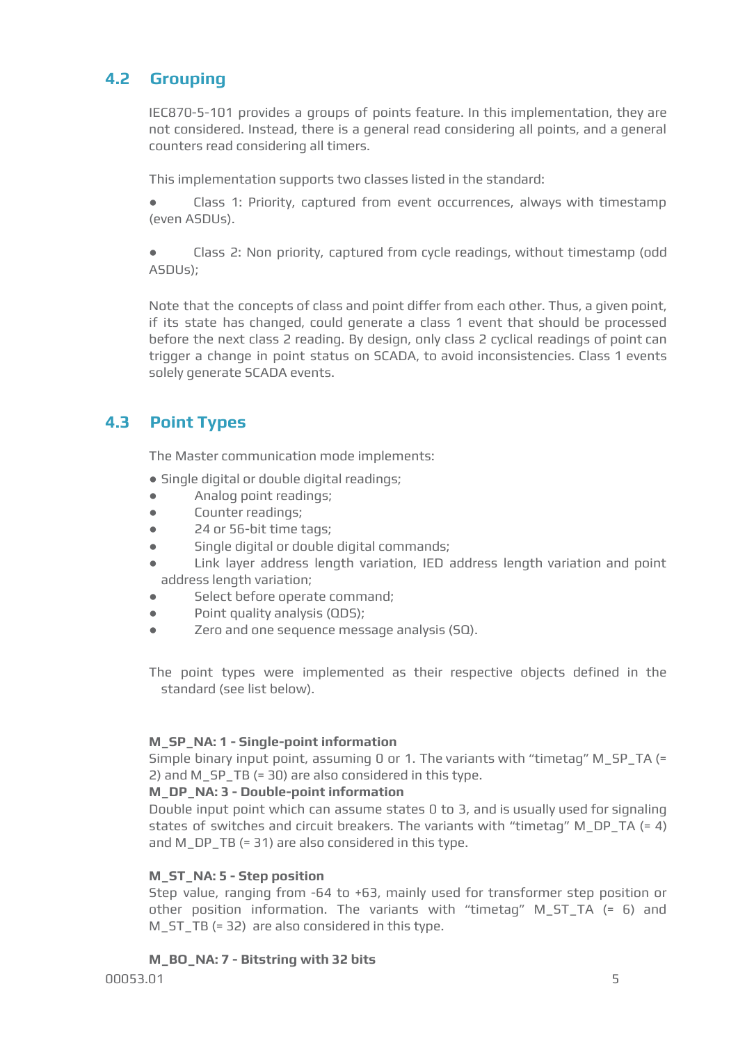# <span id="page-4-0"></span>**4.2 Grouping**

IEC870-5-101 provides a groups of points feature. In this implementation, they are not considered. Instead, there is a general read considering all points, and a general counters read considering all timers.

This implementation supports two classes listed in the standard:

● Class 1: Priority, captured from event occurrences, always with timestamp (even ASDUs).

● Class 2: Non priority, captured from cycle readings, without timestamp (odd ASDUs);

Note that the concepts of class and point differ from each other. Thus, a given point, if its state has changed, could generate a class 1 event that should be processed before the next class 2 reading. By design, only class 2 cyclical readings of point can trigger a change in point status on SCADA, to avoid inconsistencies. Class 1 events solely generate SCADA events.

# <span id="page-4-1"></span>**4.3 Point Types**

The Master communication mode implements:

• Single digital or double digital readings;

- Analog point readings;
- Counter readings;
- 24 or 56-bit time tags;
- Single digital or double digital commands;
- Link layer address length variation, IED address length variation and point address length variation;
- Select before operate command;
- Point quality analysis (QDS);
- Zero and one sequence message analysis (SQ).

The point types were implemented as their respective objects defined in the standard (see list below).

#### **M\_SP\_NA: 1 - Single-point information**

Simple binary input point, assuming 0 or 1. The variants with "timetag" M\_SP\_TA (= 2) and M\_SP\_TB (= 30) are also considered in this type.

#### **M\_DP\_NA: 3 - Double-point information**

Double input point which can assume states 0 to 3, and is usually used for signaling states of switches and circuit breakers. The variants with "timetag" M\_DP\_TA (= 4) and M\_DP\_TB (= 31) are also considered in this type.

#### **M\_ST\_NA: 5 - Step position**

Step value, ranging from -64 to +63, mainly used for transformer step position or other position information. The variants with "timetag" M\_ST\_TA (= 6) and M\_ST\_TB (= 32) are also considered in this type.

#### **M\_BO\_NA: 7 - Bitstring with 32 bits**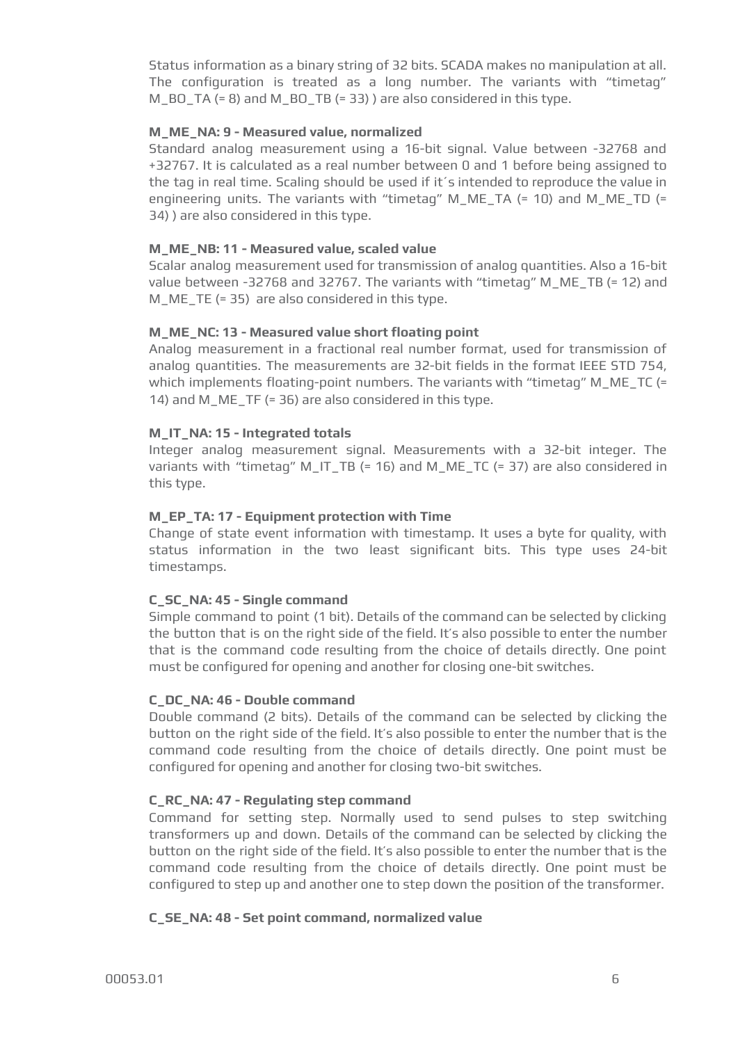Status information as a binary string of 32 bits. SCADA makes no manipulation at all. The configuration is treated as a long number. The variants with "timetag" M\_BO\_TA (= 8) and M\_BO\_TB (= 33) ) are also considered in this type.

#### **M\_ME\_NA: 9 - Measured value, normalized**

Standard analog measurement using a 16-bit signal. Value between -32768 and +32767. It is calculated as a real number between 0 and 1 before being assigned to the tag in real time. Scaling should be used if it´s intended to reproduce the value in engineering units. The variants with "timetag" M\_ME\_TA (= 10) and M\_ME\_TD (= 34) ) are also considered in this type.

#### **M\_ME\_NB: 11 - Measured value, scaled value**

Scalar analog measurement used for transmission of analog quantities. Also a 16-bit value between -32768 and 32767. The variants with "timetag" M\_ME\_TB (= 12) and M  $ME$  TE (= 35) are also considered in this type.

#### **M\_ME\_NC: 13 - Measured value short floating point**

Analog measurement in a fractional real number format, used for transmission of analog quantities. The measurements are 32-bit fields in the format IEEE STD 754, which implements floating-point numbers. The variants with "timetag" M\_ME\_TC (= 14) and M\_ME\_TF (= 36) are also considered in this type.

#### **M\_IT\_NA: 15 - Integrated totals**

Integer analog measurement signal. Measurements with a 32-bit integer. The variants with "timetag" M\_IT\_TB (= 16) and M\_ME\_TC (= 37) are also considered in this type.

#### **M\_EP\_TA: 17 - Equipment protection with Time**

Change of state event information with timestamp. It uses a byte for quality, with status information in the two least significant bits. This type uses 24-bit timestamps.

#### **C\_SC\_NA: 45 - Single command**

Simple command to point (1 bit). Details of the command can be selected by clicking the button that is on the right side of the field. It's also possible to enter the number that is the command code resulting from the choice of details directly. One point must be configured for opening and another for closing one-bit switches.

#### **C\_DC\_NA: 46 - Double command**

Double command (2 bits). Details of the command can be selected by clicking the button on the right side of the field. It's also possible to enter the number that is the command code resulting from the choice of details directly. One point must be configured for opening and another for closing two-bit switches.

#### **C\_RC\_NA: 47 - Regulating step command**

Command for setting step. Normally used to send pulses to step switching transformers up and down. Details of the command can be selected by clicking the button on the right side of the field. It's also possible to enter the number that is the command code resulting from the choice of details directly. One point must be configured to step up and another one to step down the position of the transformer.

#### **C\_SE\_NA: 48 - Set point command, normalized value**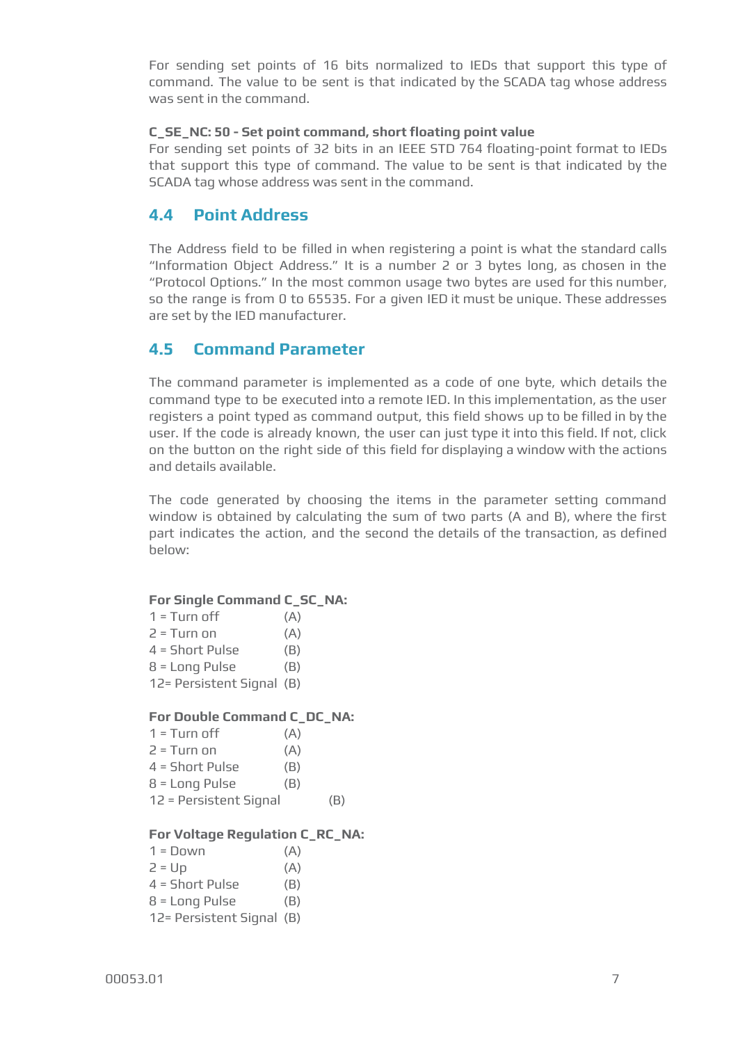For sending set points of 16 bits normalized to IEDs that support this type of command. The value to be sent is that indicated by the SCADA tag whose address was sent in the command.

#### **C\_SE\_NC: 50 - Set point command, short floating point value**

For sending set points of 32 bits in an IEEE STD 764 floating-point format to IEDs that support this type of command. The value to be sent is that indicated by the SCADA tag whose address was sent in the command.

### <span id="page-6-0"></span>**4.4 Point Address**

The Address field to be filled in when registering a point is what the standard calls "Information Object Address." It is a number 2 or 3 bytes long, as chosen in the "Protocol Options." In the most common usage two bytes are used for this number, so the range is from 0 to 65535. For a given IED it must be unique. These addresses are set by the IED manufacturer.

### <span id="page-6-1"></span>**4.5 Command Parameter**

The command parameter is implemented as a code of one byte, which details the command type to be executed into a remote IED. In this implementation, as the user registers a point typed as command output, this field shows up to be filled in by the user. If the code is already known, the user can just type it into this field. If not, click on the button on the right side of this field for displaying a window with the actions and details available.

The code generated by choosing the items in the parameter setting command window is obtained by calculating the sum of two parts (A and B), where the first part indicates the action, and the second the details of the transaction, as defined below:

#### **For Single Command C\_SC\_NA:**

| $1 =$ Turn off            | (A) |
|---------------------------|-----|
| 2 = Turn on               | (A) |
| 4 = Short Pulse           | (B) |
| 8 = Long Pulse            | (B) |
| 12= Persistent Signal (B) |     |

#### **For Double Command C\_DC\_NA:**

| $1 =$ Turn off         | (A) |     |
|------------------------|-----|-----|
| $2 = Turn$ on          | (A) |     |
| $4 = Short$ Pulse      | (B) |     |
| $8 = Long$ Pulse       | (B) |     |
| 12 = Persistent Signal |     | (B) |

#### **For Voltage Regulation C\_RC\_NA:**

| $1 = Down$                | (A) |
|---------------------------|-----|
| $2 = Up$                  | (A) |
| 4 = Short Pulse           | (B) |
| $8 = Long$ Pulse          | (B) |
| 12= Persistent Signal (B) |     |